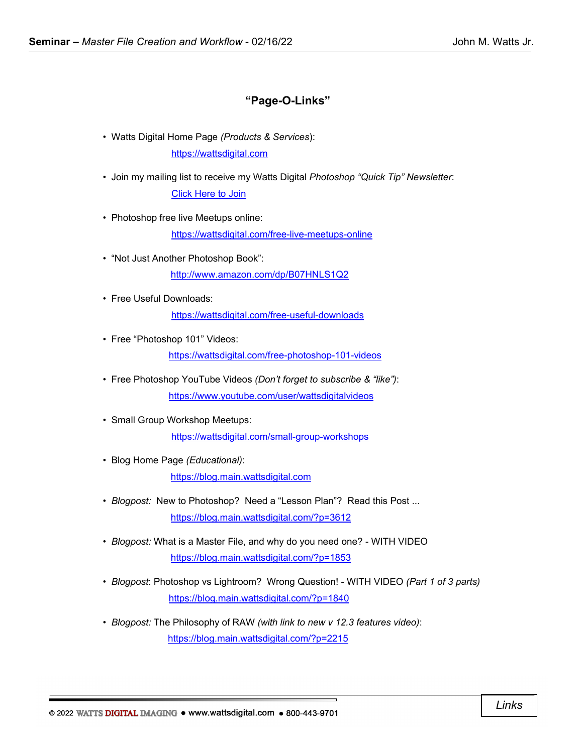## **"Page-O-Links"**

- Watts Digital Home Page *(Products & Services*): [https://wattsdigital.com](https://wattsdigital.com/)
- Join my mailing list to receive my Watts Digital *Photoshop "Quick Tip" Newsletter*: [Click Here to Join](https://visitor.r20.constantcontact.com/manage/optin?v=0016DNjNiidDhRwYuGZFNAxcASo2U_gpD08)
- Photoshop free live Meetups online:

<https://wattsdigital.com/free-live-meetups-online>

- "Not Just Another Photoshop Book": <http://www.amazon.com/dp/B07HNLS1Q2>
- Free Useful Downloads:

<https://wattsdigital.com/free-useful-downloads>

• Free "Photoshop 101" Videos:

<https://wattsdigital.com/free-photoshop-101-videos>

- Free Photoshop YouTube Videos *(Don't forget to subscribe & "like")*: <https://www.youtube.com/user/wattsdigitalvideos>
- Small Group Workshop Meetups:

<https://wattsdigital.com/small-group-workshops>

• Blog Home Page *(Educational)*:

[https://blog.main.wattsdigital.com](https://blog.main.wattsdigital.com/)

- *Blogpost:* New to Photoshop? Need a "Lesson Plan"? Read this Post ... <https://blog.main.wattsdigital.com/?p=3612>
- *Blogpost:* What is a Master File, and why do you need one? WITH VIDEO <https://blog.main.wattsdigital.com/?p=1853>
- *Blogpost*: Photoshop vs Lightroom? Wrong Question! WITH VIDEO *(Part 1 of 3 parts)* <https://blog.main.wattsdigital.com/?p=1840>
- *Blogpost:* The Philosophy of RAW *(with link to new v 12.3 features video)*: <https://blog.main.wattsdigital.com/?p=2215>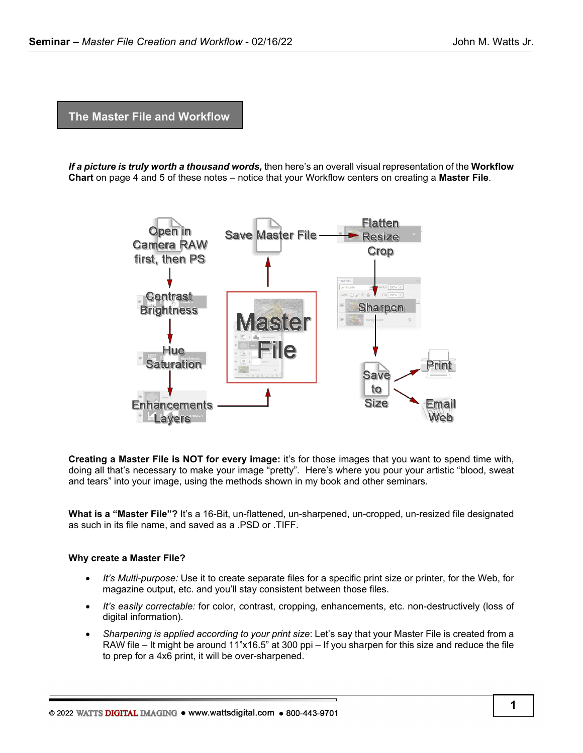**The Master File and Workflow**

*If a picture is truly worth a thousand words,* then here's an overall visual representation of the **Workflow Chart** on page 4 and 5 of these notes – notice that your Workflow centers on creating a **Master File**.



**Creating a Master File is NOT for every image:** it's for those images that you want to spend time with, doing all that's necessary to make your image "pretty". Here's where you pour your artistic "blood, sweat and tears" into your image, using the methods shown in my book and other seminars.

**What is a "Master File"?** It's a 16-Bit, un-flattened, un-sharpened, un-cropped, un-resized file designated as such in its file name, and saved as a .PSD or .TIFF.

#### **Why create a Master File?**

- *It's Multi-purpose:* Use it to create separate files for a specific print size or printer, for the Web, for magazine output, etc. and you'll stay consistent between those files.
- *It's easily correctable:* for color, contrast, cropping, enhancements, etc. non-destructively (loss of digital information).
- *Sharpening is applied according to your print size*: Let's say that your Master File is created from a RAW file – It might be around 11"x16.5" at 300 ppi – If you sharpen for this size and reduce the file to prep for a 4x6 print, it will be over-sharpened.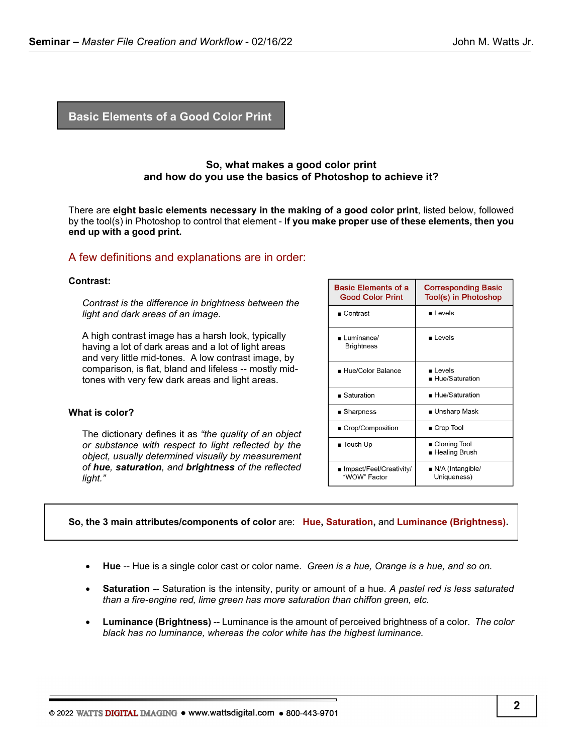## **Basic Elements of a Good Color Print**

## **So, what makes a good color print and how do you use the basics of Photoshop to achieve it?**

There are **eight basic elements necessary in the making of a good color print**, listed below, followed by the tool(s) in Photoshop to control that element - I**f you make proper use of these elements, then you end up with a good print.**

#### A few definitions and explanations are in order:

#### **Contrast:**

*Contrast is the difference in brightness between the light and dark areas of an image.*

A high contrast image has a harsh look, typically having a lot of dark areas and a lot of light areas and very little mid-tones. A low contrast image, by comparison, is flat, bland and lifeless -- mostly midtones with very few dark areas and light areas.

#### **What is color?**

The dictionary defines it as *"the quality of an object or substance with respect to light reflected by the object, usually determined visually by measurement of hue, saturation, and brightness of the reflected light."*

| <b>Basic Elements of a</b><br><b>Good Color Print</b> | <b>Corresponding Basic</b><br>Tool(s) in Photoshop |
|-------------------------------------------------------|----------------------------------------------------|
| $\blacksquare$ Contrast                               | $\blacksquare$ Levels                              |
| Luminance/<br><b>Brightness</b>                       | l evels                                            |
| ■ Hue/Color Balance                                   | ∎ Levels<br>■ Hue/Saturation                       |
| $\blacksquare$ Saturation                             | $\blacksquare$ Hue/Saturation                      |
| ■ Sharpness                                           | ∎ Unsharp Mask                                     |
| ■ Crop/Composition                                    | ■ Crop Tool                                        |
| $\blacksquare$ Touch Up                               | ∎ Cloning Tool<br>∎ Healing Brush                  |
| ∎ Impact/Feel/Creativity/<br>"WOW" Factor             | $\blacksquare$ N/A (Intangible/<br>Uniqueness)     |

#### **So, the 3 main attributes/components of color** are: **Hue, Saturation,** and **Luminance (Brightness).**

- **Hue** -- Hue is a single color cast or color name. *Green is a hue, Orange is a hue, and so on.*
- **Saturation** -- Saturation is the intensity, purity or amount of a hue. *A pastel red is less saturated than a fire-engine red, lime green has more saturation than chiffon green, etc.*
- **Luminance (Brightness)** -- Luminance is the amount of perceived brightness of a color. The color *black has no luminance, whereas the color white has the highest luminance.*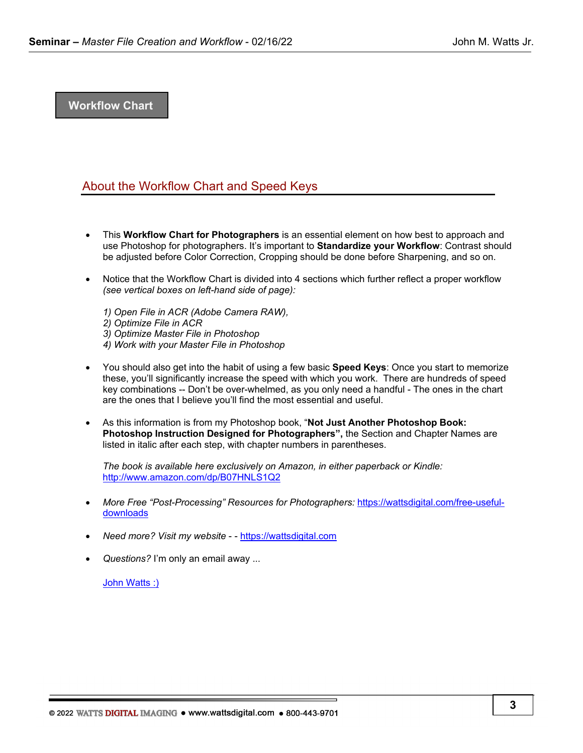## **Workflow Chart**

## About the Workflow Chart and Speed Keys

- This **Workflow Chart for Photographers** is an essential element on how best to approach and use Photoshop for photographers. It's important to **Standardize your Workflow**: Contrast should be adjusted before Color Correction, Cropping should be done before Sharpening, and so on.
- Notice that the Workflow Chart is divided into 4 sections which further reflect a proper workflow *(see vertical boxes on left-hand side of page):*
	- *1) Open File in ACR (Adobe Camera RAW), 2) Optimize File in ACR 3) Optimize Master File in Photoshop 4) Work with your Master File in Photoshop*
- You should also get into the habit of using a few basic **Speed Keys**: Once you start to memorize these, you'll significantly increase the speed with which you work. There are hundreds of speed key combinations -- Don't be over-whelmed, as you only need a handful - The ones in the chart are the ones that I believe you'll find the most essential and useful.
- As this information is from my Photoshop book, "**Not Just Another Photoshop Book: Photoshop Instruction Designed for Photographers",** the Section and Chapter Names are listed in italic after each step, with chapter numbers in parentheses.

*The book is available here exclusively on Amazon, in either paperback or Kindle:*  <http://www.amazon.com/dp/B07HNLS1Q2>

- *More Free "Post-Processing" Resources for Photographers:* [https://wattsdigital.com/free-useful](https://wattsdigital.com/free-useful-downloads)[downloads](https://wattsdigital.com/free-useful-downloads)
- *Need more? Visit my website*  - [https://wattsdigital.com](https://wattsdigital.com/)
- *Questions?* I'm only an email away ...

[John Watts :\)](mailto:john@wattsdigital.com)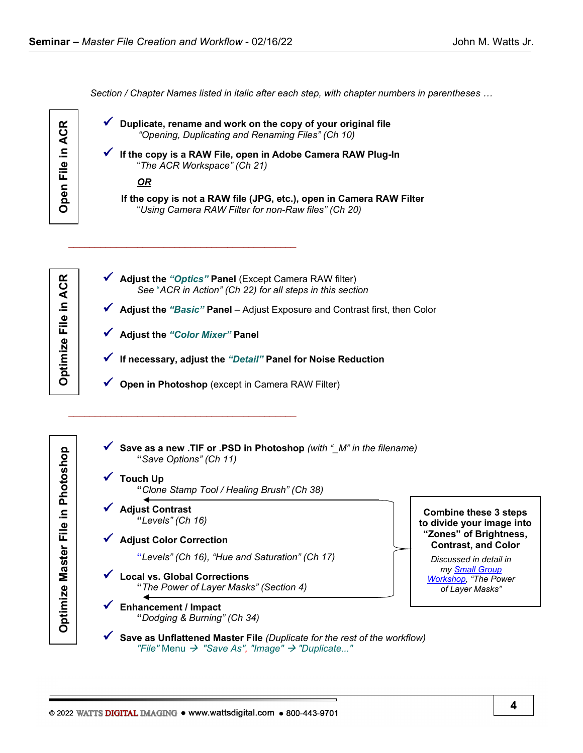*Section / Chapter Names listed in italic after each step, with chapter numbers in parentheses …*



Optimize File in ACR

|  | Duplicate, rename and work on the copy of your original file<br>"Opening, Duplicating and Renaming Files" (Ch 10)           |
|--|-----------------------------------------------------------------------------------------------------------------------------|
|  | If the copy is a RAW File, open in Adobe Camera RAW Plug-In<br>"The ACR Workspace" (Ch 21)                                  |
|  | <u>OR</u>                                                                                                                   |
|  | If the copy is not a RAW file (JPG, etc.), open in Camera RAW Filter<br>"Using Camera RAW Filter for non-Raw files" (Ch 20) |
|  |                                                                                                                             |
|  | Adjust the "Optics" Panel (Except Camera RAW filter)                                                                        |
|  | See "ACR in Action" (Ch 22) for all steps in this section                                                                   |
|  | Adjust the "Basic" Panel - Adjust Exposure and Contrast first, then Color                                                   |
|  | <b>Adjust the "Color Mixer" Panel</b>                                                                                       |
|  | If necessary, adjust the "Detail" Panel for Noise Reduction                                                                 |
|  | Open in Photoshop (except in Camera RAW Filter)                                                                             |
|  |                                                                                                                             |

**Optimize Master File in Photoshop Optimize File in ACR**Optimize Master File in Photoshop

 **Save as a new .TIF or .PSD in Photoshop** *(with "\_M" in the filename)*  **"***Save Options" (Ch 11)*

# **Touch Up "***Clone Stamp Tool / Healing Brush" (Ch 38)*

- **Adjust Contrast "***Levels" (Ch 16)*
- **Adjust Color Correction**

\_\_\_\_\_\_\_\_\_\_\_\_\_\_\_\_\_\_\_\_\_\_\_\_\_\_\_\_\_\_\_\_\_\_\_\_\_\_\_\_\_\_\_

 **"***Levels" (Ch 16), "Hue and Saturation" (Ch 17)*

 **Local vs. Global Corrections "***The Power of Layer Masks" (Section 4)*

 **Enhancement / Impact "***Dodging & Burning" (Ch 34)* 

**Combine these 3 steps to divide your image into "Zones" of Brightness, Contrast, and Color**

*Discussed in detail in my [Small Group](https://wattsdigital.com/small-group-workshops)  [Workshop,](https://wattsdigital.com/small-group-workshops) "The Power of Layer Masks"*

 **Save as Unflattened Master File** *(Duplicate for the rest of the workflow) "File"* Menu  *"Save As", "Image" "Duplicate..."*